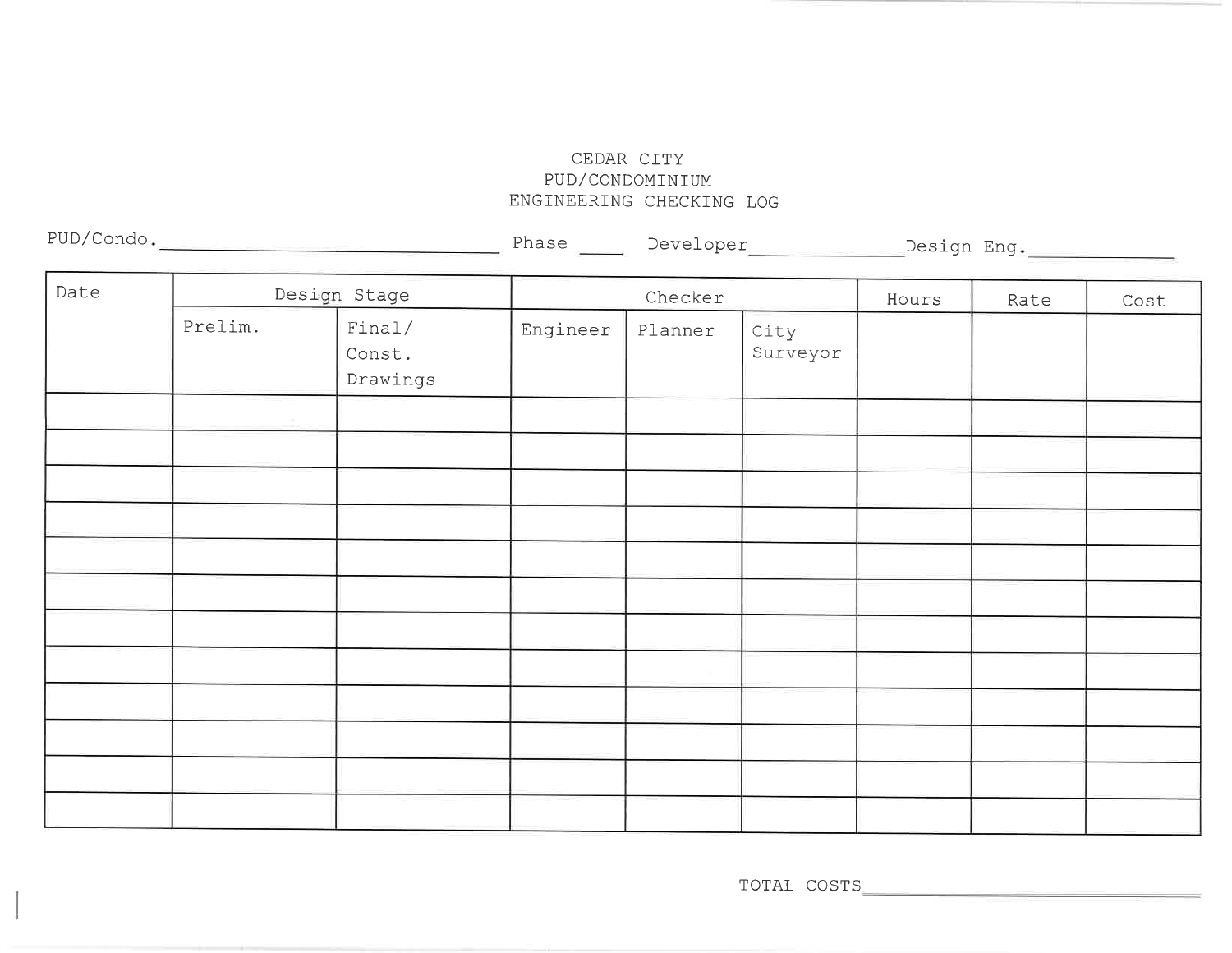## CEDAR CITY PUD/CONDOMINIUMENGINEERING CHECKING LOG

| PUD/Condo. |
|------------|
|------------|

Phase Developer Design Eng

| Date |         | Design Stage     |          | Checker |                  | Hours | Rate | Cost |
|------|---------|------------------|----------|---------|------------------|-------|------|------|
|      | Prelim. | Final/<br>Const. | Engineer | Planner | City<br>Surveyor |       |      |      |
|      |         |                  |          |         |                  |       |      |      |
|      |         | Drawings         |          |         |                  |       |      |      |
|      |         |                  |          |         |                  |       |      |      |
|      |         |                  |          |         |                  |       |      |      |
|      |         |                  |          |         |                  |       |      |      |
|      |         |                  |          |         |                  |       |      |      |
|      |         |                  |          |         |                  |       |      |      |
|      |         |                  |          |         |                  |       |      |      |
|      |         |                  |          |         |                  |       |      |      |
|      |         |                  |          |         |                  |       |      |      |
|      |         |                  |          |         |                  |       |      |      |
|      |         |                  |          |         |                  |       |      |      |
|      |         |                  |          |         |                  |       |      |      |
|      |         |                  |          |         |                  |       |      |      |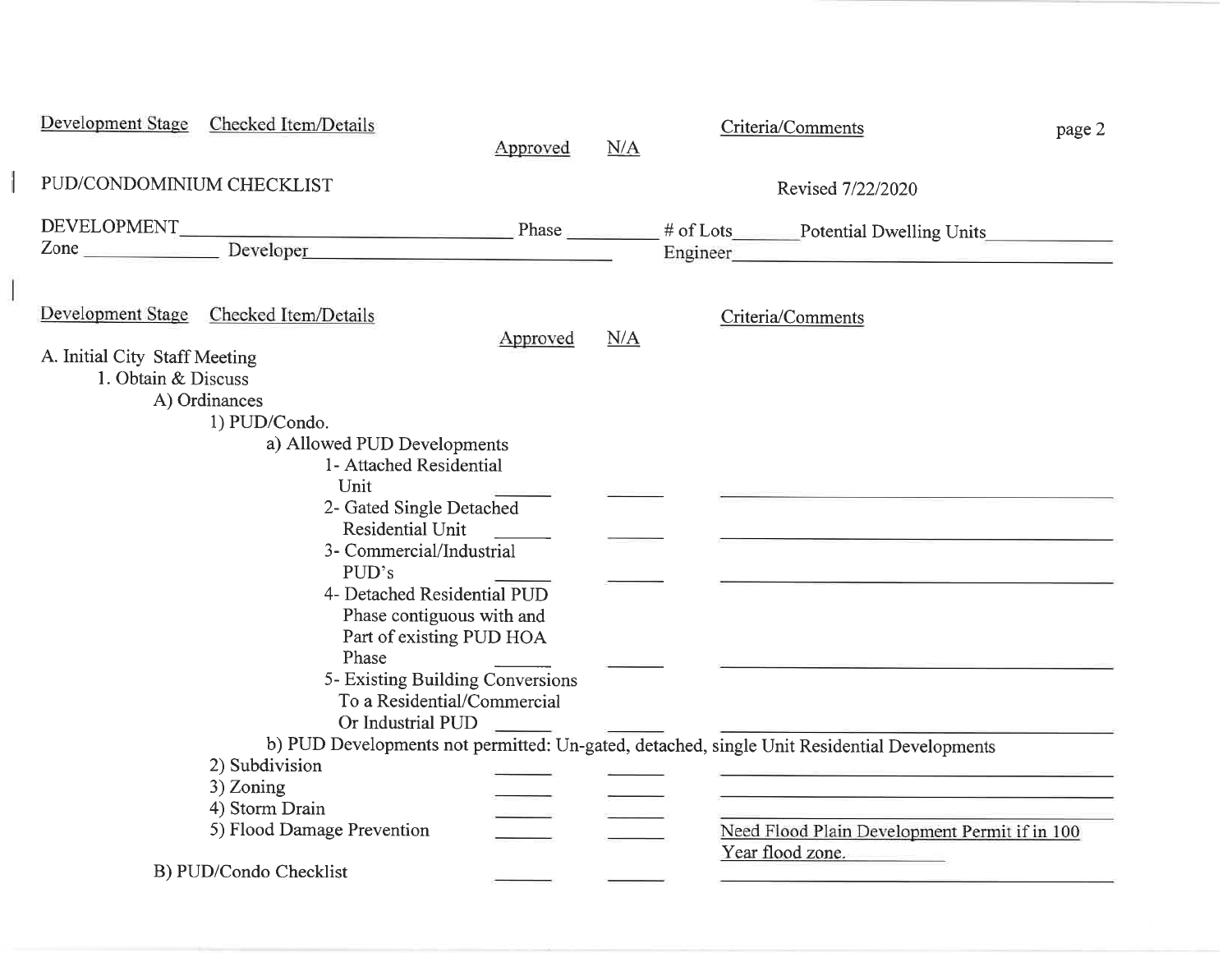| <b>Development Stage</b>      | Checked Item/Details                                   | Approved | N/A | Criteria/Comments                                                                                                                                                                                                              | page 2 |
|-------------------------------|--------------------------------------------------------|----------|-----|--------------------------------------------------------------------------------------------------------------------------------------------------------------------------------------------------------------------------------|--------|
| PUD/CONDOMINIUM CHECKLIST     |                                                        |          |     | Revised 7/22/2020                                                                                                                                                                                                              |        |
|                               |                                                        |          |     |                                                                                                                                                                                                                                |        |
|                               | Zone Developer                                         |          |     | Engineer entrance and the state of the state of the state of the state of the state of the state of the state of the state of the state of the state of the state of the state of the state of the state of the state of the s |        |
|                               | Development Stage Checked Item/Details                 | Approved | N/A | Criteria/Comments                                                                                                                                                                                                              |        |
| A. Initial City Staff Meeting |                                                        |          |     |                                                                                                                                                                                                                                |        |
| 1. Obtain & Discuss           |                                                        |          |     |                                                                                                                                                                                                                                |        |
|                               | A) Ordinances                                          |          |     |                                                                                                                                                                                                                                |        |
|                               | 1) PUD/Condo.                                          |          |     |                                                                                                                                                                                                                                |        |
|                               | a) Allowed PUD Developments<br>1- Attached Residential |          |     |                                                                                                                                                                                                                                |        |
|                               | Unit                                                   |          |     |                                                                                                                                                                                                                                |        |
|                               | 2- Gated Single Detached                               |          |     |                                                                                                                                                                                                                                |        |
|                               | Residential Unit                                       |          |     |                                                                                                                                                                                                                                |        |
|                               | 3- Commercial/Industrial                               |          |     |                                                                                                                                                                                                                                |        |
|                               | PUD's                                                  |          |     |                                                                                                                                                                                                                                |        |
|                               | 4- Detached Residential PUD                            |          |     |                                                                                                                                                                                                                                |        |
|                               |                                                        |          |     |                                                                                                                                                                                                                                |        |
|                               | Phase contiguous with and                              |          |     |                                                                                                                                                                                                                                |        |
|                               | Part of existing PUD HOA<br>Phase                      |          |     |                                                                                                                                                                                                                                |        |
|                               | 5- Existing Building Conversions                       |          |     |                                                                                                                                                                                                                                |        |
|                               | To a Residential/Commercial                            |          |     |                                                                                                                                                                                                                                |        |
|                               | Or Industrial PUD                                      |          |     |                                                                                                                                                                                                                                |        |
|                               |                                                        |          |     | b) PUD Developments not permitted: Un-gated, detached, single Unit Residential Developments                                                                                                                                    |        |
|                               | 2) Subdivision                                         |          |     |                                                                                                                                                                                                                                |        |
|                               | 3) Zoning                                              |          |     | <u> 1980 - Maria Maria Maria Alemania (h. 1980).</u>                                                                                                                                                                           |        |
|                               | 4) Storm Drain                                         |          |     |                                                                                                                                                                                                                                |        |
|                               | 5) Flood Damage Prevention                             |          |     | Need Flood Plain Development Permit if in 100                                                                                                                                                                                  |        |
|                               |                                                        |          |     | Year flood zone.                                                                                                                                                                                                               |        |
|                               | B) PUD/Condo Checklist                                 |          |     |                                                                                                                                                                                                                                |        |
|                               |                                                        |          |     |                                                                                                                                                                                                                                |        |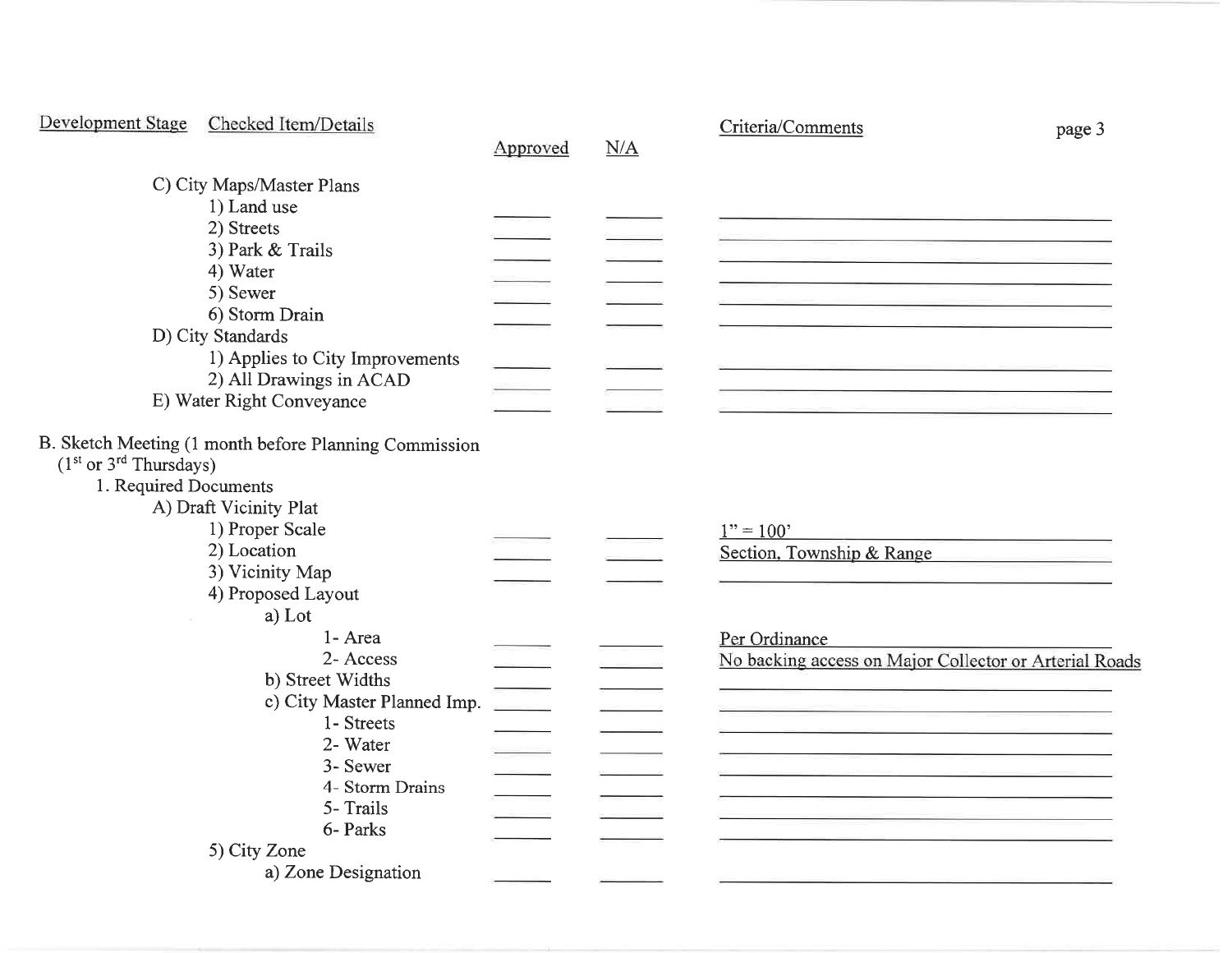|                                                  | Development Stage Checked Item/Details                                                                                                                                                           | Approved | N/A | Criteria/Comments<br>page 3                                             |
|--------------------------------------------------|--------------------------------------------------------------------------------------------------------------------------------------------------------------------------------------------------|----------|-----|-------------------------------------------------------------------------|
|                                                  | C) City Maps/Master Plans<br>1) Land use<br>2) Streets<br>3) Park & Trails<br>4) Water<br>5) Sewer<br>6) Storm Drain<br>D) City Standards                                                        |          |     |                                                                         |
|                                                  | 1) Applies to City Improvements<br>2) All Drawings in ACAD<br>E) Water Right Conveyance                                                                                                          |          |     |                                                                         |
| $(1st or 3rd Thursday)$<br>1. Required Documents | B. Sketch Meeting (1 month before Planning Commission<br>A) Draft Vicinity Plat<br>1) Proper Scale<br>2) Location<br>3) Vicinity Map<br>4) Proposed Layout<br>a) Lot                             |          |     | $1" = 100"$<br>Section, Township & Range                                |
|                                                  | 1- Area<br>2- Access<br>b) Street Widths<br>c) City Master Planned Imp.<br>1- Streets<br>2- Water<br>3- Sewer<br>4- Storm Drains<br>5- Trails<br>6- Parks<br>5) City Zone<br>a) Zone Designation |          |     | Per Ordinance<br>No backing access on Major Collector or Arterial Roads |
|                                                  |                                                                                                                                                                                                  |          |     |                                                                         |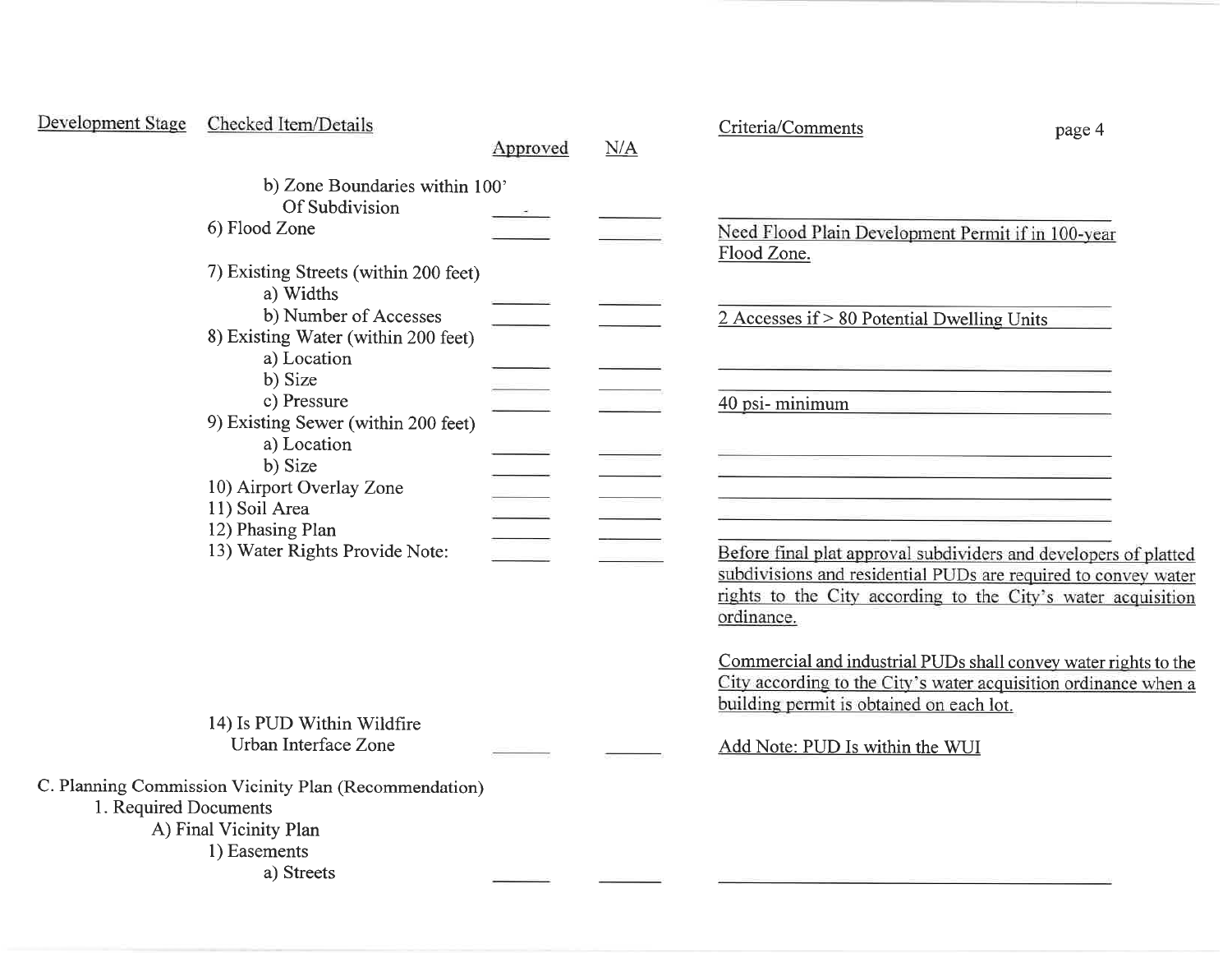| Development Stage     | Checked Item/Details                                                                                               | Approved | N/A | Criteria/Comments<br>page 4                                                                                                                                                                                      |
|-----------------------|--------------------------------------------------------------------------------------------------------------------|----------|-----|------------------------------------------------------------------------------------------------------------------------------------------------------------------------------------------------------------------|
|                       | b) Zone Boundaries within 100'<br>Of Subdivision<br>6) Flood Zone                                                  |          |     | Need Flood Plain Development Permit if in 100-year<br>Flood Zone.                                                                                                                                                |
|                       | 7) Existing Streets (within 200 feet)<br>a) Widths<br>b) Number of Accesses<br>8) Existing Water (within 200 feet) |          |     | $2$ Accesses if $> 80$ Potential Dwelling Units                                                                                                                                                                  |
|                       | a) Location<br>b) Size<br>c) Pressure<br>9) Existing Sewer (within 200 feet)<br>a) Location                        |          |     | 40 psi-minimum                                                                                                                                                                                                   |
|                       | b) Size<br>10) Airport Overlay Zone<br>11) Soil Area<br>12) Phasing Plan                                           |          |     |                                                                                                                                                                                                                  |
|                       | 13) Water Rights Provide Note:                                                                                     |          |     | Before final plat approval subdividers and developers of platted<br>subdivisions and residential PUDs are required to convey water<br>rights to the City according to the City's water acquisition<br>ordinance. |
|                       |                                                                                                                    |          |     | Commercial and industrial PUDs shall convey water rights to the<br>City according to the City's water acquisition ordinance when a<br>building permit is obtained on each lot.                                   |
|                       | 14) Is PUD Within Wildfire<br>Urban Interface Zone                                                                 |          |     | Add Note: PUD Is within the WUI                                                                                                                                                                                  |
| 1. Required Documents | C. Planning Commission Vicinity Plan (Recommendation)<br>A) Final Vicinity Plan<br>1) Easements<br>a) Streets      |          |     |                                                                                                                                                                                                                  |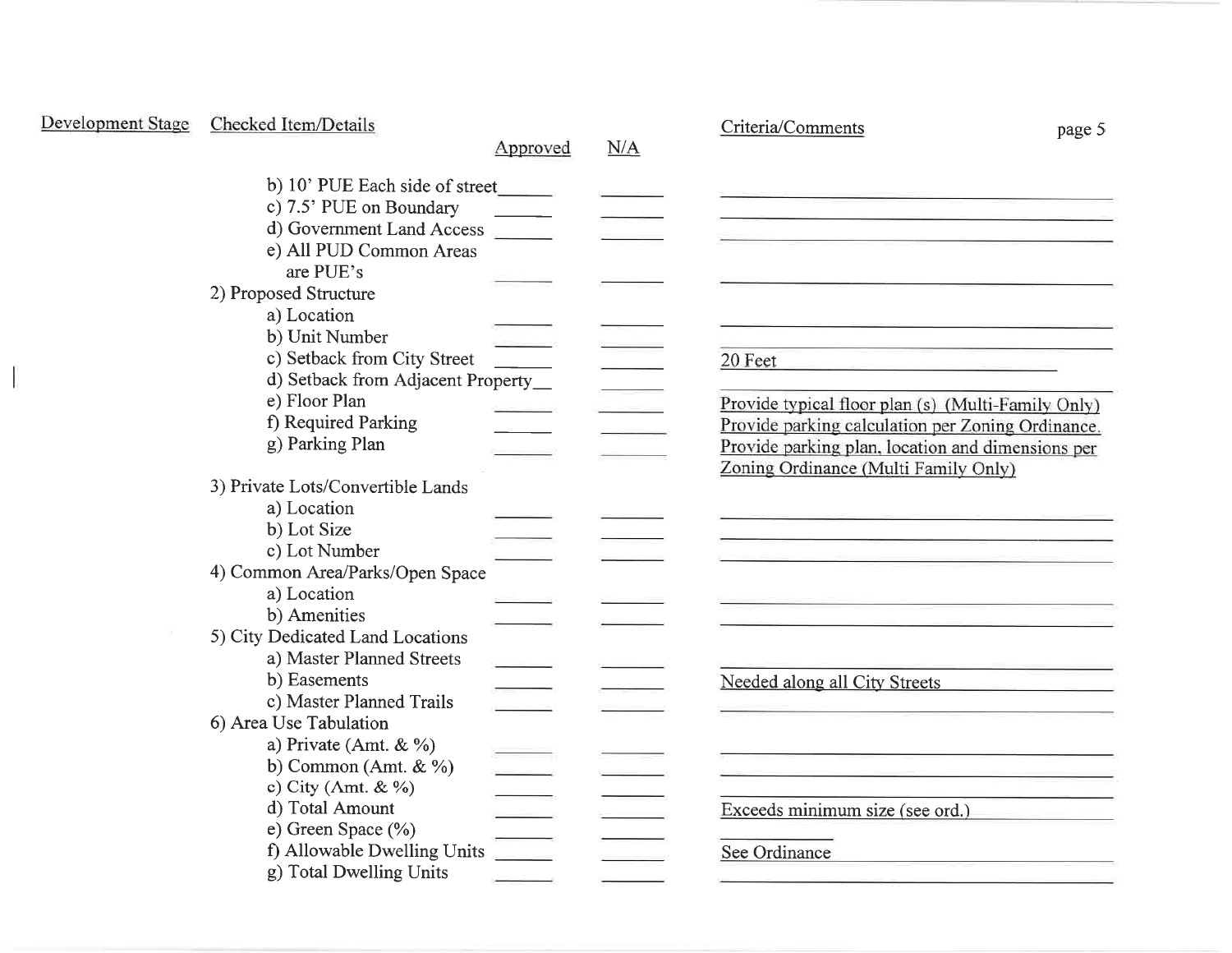| Development Stage | Checked Item/Details                 |          |     | Criteria/Comments<br>page 5                                                                                                                                                                                                          |
|-------------------|--------------------------------------|----------|-----|--------------------------------------------------------------------------------------------------------------------------------------------------------------------------------------------------------------------------------------|
|                   |                                      | Approved | N/A |                                                                                                                                                                                                                                      |
|                   | b) 10' PUE Each side of street       |          |     |                                                                                                                                                                                                                                      |
|                   | c) 7.5' PUE on Boundary              |          |     | <u> 1980 - Jan Harry Harry Harry Harry Harry Harry Harry Harry Harry Harry Harry Harry Harry Harry Harry Harry Harry Harry Harry Harry Harry Harry Harry Harry Harry Harry Harry Harry Harry Harry Harry Harry Harry Harry Harry</u> |
|                   | d) Government Land Access            |          |     |                                                                                                                                                                                                                                      |
|                   | e) All PUD Common Areas              |          |     |                                                                                                                                                                                                                                      |
|                   | are PUE's                            |          |     |                                                                                                                                                                                                                                      |
|                   | 2) Proposed Structure                |          |     |                                                                                                                                                                                                                                      |
|                   | a) Location                          |          |     |                                                                                                                                                                                                                                      |
|                   | b) Unit Number                       |          |     |                                                                                                                                                                                                                                      |
|                   | c) Setback from City Street          |          |     | 20 Feet                                                                                                                                                                                                                              |
|                   | d) Setback from Adjacent Property_   |          |     |                                                                                                                                                                                                                                      |
|                   | e) Floor Plan                        |          |     | Provide typical floor plan (s) (Multi-Family Only)                                                                                                                                                                                   |
|                   | f) Required Parking                  |          |     | Provide parking calculation per Zoning Ordinance.                                                                                                                                                                                    |
|                   | g) Parking Plan                      |          |     | Provide parking plan, location and dimensions per                                                                                                                                                                                    |
|                   |                                      |          |     | Zoning Ordinance (Multi Family Only)                                                                                                                                                                                                 |
|                   | 3) Private Lots/Convertible Lands    |          |     |                                                                                                                                                                                                                                      |
|                   | a) Location                          |          |     |                                                                                                                                                                                                                                      |
|                   | b) Lot Size                          |          |     |                                                                                                                                                                                                                                      |
|                   | c) Lot Number                        |          |     |                                                                                                                                                                                                                                      |
|                   | 4) Common Area/Parks/Open Space      |          |     |                                                                                                                                                                                                                                      |
|                   | a) Location                          |          |     | <u> Samara (1985)</u><br>Antonio II (1986) - Antonio II (1986) - Antonio II (1986) - Antonio II (1986) - Antonio II (1986) - Antonio I                                                                                               |
|                   | b) Amenities                         |          |     |                                                                                                                                                                                                                                      |
|                   | 5) City Dedicated Land Locations     |          |     |                                                                                                                                                                                                                                      |
|                   | a) Master Planned Streets            |          |     |                                                                                                                                                                                                                                      |
|                   | b) Easements                         |          |     | Needed along all City Streets                                                                                                                                                                                                        |
|                   | c) Master Planned Trails             |          |     |                                                                                                                                                                                                                                      |
|                   | 6) Area Use Tabulation               |          |     |                                                                                                                                                                                                                                      |
|                   | a) Private (Amt. & %)                |          |     |                                                                                                                                                                                                                                      |
|                   | b) Common (Amt. $\& \frac{\%}{\%}$ ) |          |     |                                                                                                                                                                                                                                      |
|                   | c) City (Amt. & $\%$ )               |          |     |                                                                                                                                                                                                                                      |
|                   | d) Total Amount                      |          |     | Exceeds minimum size (see ord.)                                                                                                                                                                                                      |
|                   | e) Green Space (%)                   |          |     |                                                                                                                                                                                                                                      |
|                   | f) Allowable Dwelling Units          |          |     | See Ordinance                                                                                                                                                                                                                        |
|                   | g) Total Dwelling Units              |          |     |                                                                                                                                                                                                                                      |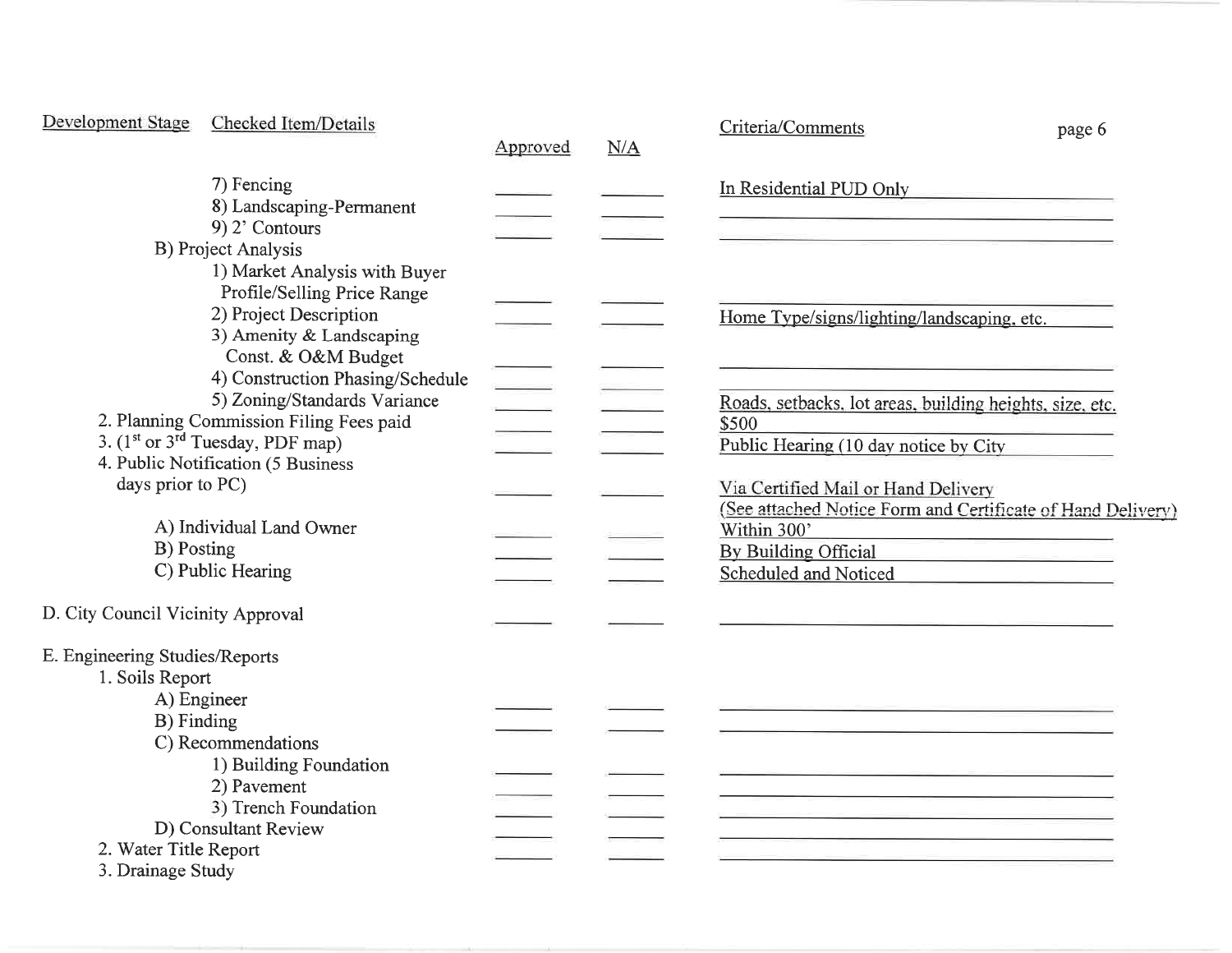| <b>Development Stage</b>                                                       | Checked Item/Details                                                                                                                                                                                           | Approved                             | N/A | Criteria/Comments                                                                                                                                                                                                                                                                                                                                                                                                                                                                                                                     | page 6 |
|--------------------------------------------------------------------------------|----------------------------------------------------------------------------------------------------------------------------------------------------------------------------------------------------------------|--------------------------------------|-----|---------------------------------------------------------------------------------------------------------------------------------------------------------------------------------------------------------------------------------------------------------------------------------------------------------------------------------------------------------------------------------------------------------------------------------------------------------------------------------------------------------------------------------------|--------|
|                                                                                | 7) Fencing<br>8) Landscaping-Permanent<br>$9)$ 2' Contours<br><b>B)</b> Project Analysis                                                                                                                       |                                      |     | In Residential PUD Only                                                                                                                                                                                                                                                                                                                                                                                                                                                                                                               |        |
|                                                                                | 1) Market Analysis with Buyer<br>Profile/Selling Price Range<br>2) Project Description<br>3) Amenity & Landscaping                                                                                             |                                      |     | Home Type/signs/lighting/landscaping, etc.                                                                                                                                                                                                                                                                                                                                                                                                                                                                                            |        |
|                                                                                | Const. & O&M Budget<br>4) Construction Phasing/Schedule<br>5) Zoning/Standards Variance<br>2. Planning Commission Filing Fees paid<br>3. $(1st or 3rd Tuesday, PDF map)$<br>4. Public Notification (5 Business | $\mathcal{L}(\mathcal{L})$<br>$\sim$ |     | Roads, setbacks, lot areas, building heights, size, etc.<br>\$500<br>Public Hearing (10 day notice by City                                                                                                                                                                                                                                                                                                                                                                                                                            |        |
| days prior to PC)<br>B) Posting                                                | A) Individual Land Owner<br>C) Public Hearing                                                                                                                                                                  |                                      |     | Via Certified Mail or Hand Delivery<br>(See attached Notice Form and Certificate of Hand Delivery)<br>Within 300'<br>By Building Official<br><u> Alexandria de la contenentación de la contenentación de la contenentación de la contenentación de la contenentación de la contenentación de la contenentación de la contenentación de la contenentación de la contenentación</u><br>Scheduled and Noticed<br><u> 1980 - Jan Barnett, mars and de la partie de la partie de la partie de la partie de la partie de la partie de l</u> |        |
| D. City Council Vicinity Approval                                              |                                                                                                                                                                                                                |                                      |     |                                                                                                                                                                                                                                                                                                                                                                                                                                                                                                                                       |        |
| E. Engineering Studies/Reports<br>1. Soils Report<br>A) Engineer<br>B) Finding | C) Recommendations                                                                                                                                                                                             |                                      |     |                                                                                                                                                                                                                                                                                                                                                                                                                                                                                                                                       |        |
| 2. Water Title Report<br>3. Drainage Study                                     | 1) Building Foundation<br>2) Pavement<br>3) Trench Foundation<br>D) Consultant Review                                                                                                                          |                                      |     | <u> Samuel Carl Communication (Samuel Carl Communication (Samuel Carl Communication (Samuel Carl Communication (S</u><br><u> 1989 - Johann John Stone, markin amerikan bisa di sebagai pertama dan bagian dan pertama dan bisa di sebagai</u>                                                                                                                                                                                                                                                                                         |        |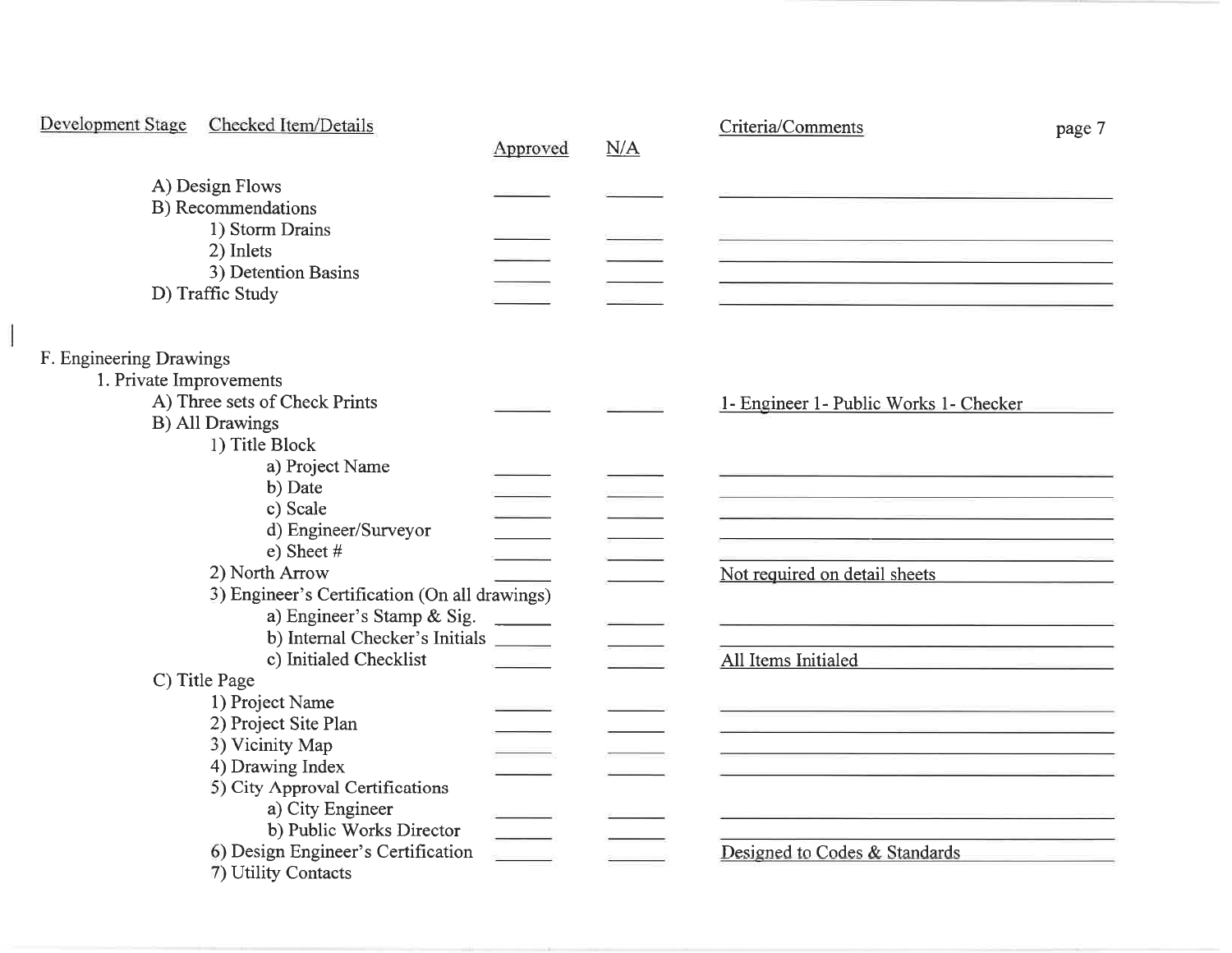| Development Stage<br>Checked Item/Details     | Approved                 | N/A | Criteria/Comments<br>page 7                                                                                            |
|-----------------------------------------------|--------------------------|-----|------------------------------------------------------------------------------------------------------------------------|
| A) Design Flows                               |                          |     |                                                                                                                        |
| B) Recommendations                            |                          |     |                                                                                                                        |
| 1) Storm Drains                               |                          |     |                                                                                                                        |
| 2) Inlets                                     |                          |     | <u> 1980 - Antonio Alemania et al provincia de la provincia de la provincia de la provincia de la provincia de l</u>   |
| 3) Detention Basins                           |                          |     | <u> 1989 - Johann John Stone, markin film yn y sefydlu ymgyriau ymgyriau ymgyriau ymgyriau ymgyriau ymgyriau ymgy</u>  |
| D) Traffic Study                              |                          |     | <u> Antonio de la contrada de la contrada de la contrada de la contrada de la contrada de la contrada de la contra</u> |
| F. Engineering Drawings                       |                          |     |                                                                                                                        |
| 1. Private Improvements                       |                          |     |                                                                                                                        |
| A) Three sets of Check Prints                 |                          |     | 1- Engineer 1- Public Works 1- Checker                                                                                 |
| <b>B)</b> All Drawings                        |                          |     |                                                                                                                        |
| 1) Title Block                                |                          |     |                                                                                                                        |
| a) Project Name                               |                          |     |                                                                                                                        |
| b) Date                                       |                          |     |                                                                                                                        |
| c) Scale                                      |                          |     |                                                                                                                        |
| d) Engineer/Surveyor                          |                          |     |                                                                                                                        |
| e) Sheet $#$                                  |                          |     |                                                                                                                        |
| 2) North Arrow                                |                          |     | Not required on detail sheets                                                                                          |
| 3) Engineer's Certification (On all drawings) |                          |     |                                                                                                                        |
| a) Engineer's Stamp & Sig.                    |                          |     |                                                                                                                        |
| b) Internal Checker's Initials _______        |                          |     | <u> 1989 - Johann John Stone, markin sammen fyrstu og fyrstu og fyrir og fyrir og fyrir og fyrstu og fyrstu og fy</u>  |
| c) Initialed Checklist<br>C) Title Page       |                          |     | All Items Initialed                                                                                                    |
| 1) Project Name                               |                          |     |                                                                                                                        |
| 2) Project Site Plan                          |                          |     | <u> 1981 - John Stein, Amerikaansk politiker</u>                                                                       |
| 3) Vicinity Map                               |                          |     |                                                                                                                        |
| 4) Drawing Index                              |                          |     |                                                                                                                        |
| 5) City Approval Certifications               |                          |     |                                                                                                                        |
| a) City Engineer                              |                          |     | and the control of the control of the control of the control of the control of the control of the control of the       |
| b) Public Works Director                      | $\overline{\phantom{a}}$ |     |                                                                                                                        |
| 6) Design Engineer's Certification            |                          |     | Designed to Codes & Standards                                                                                          |
| 7) Utility Contacts                           |                          |     |                                                                                                                        |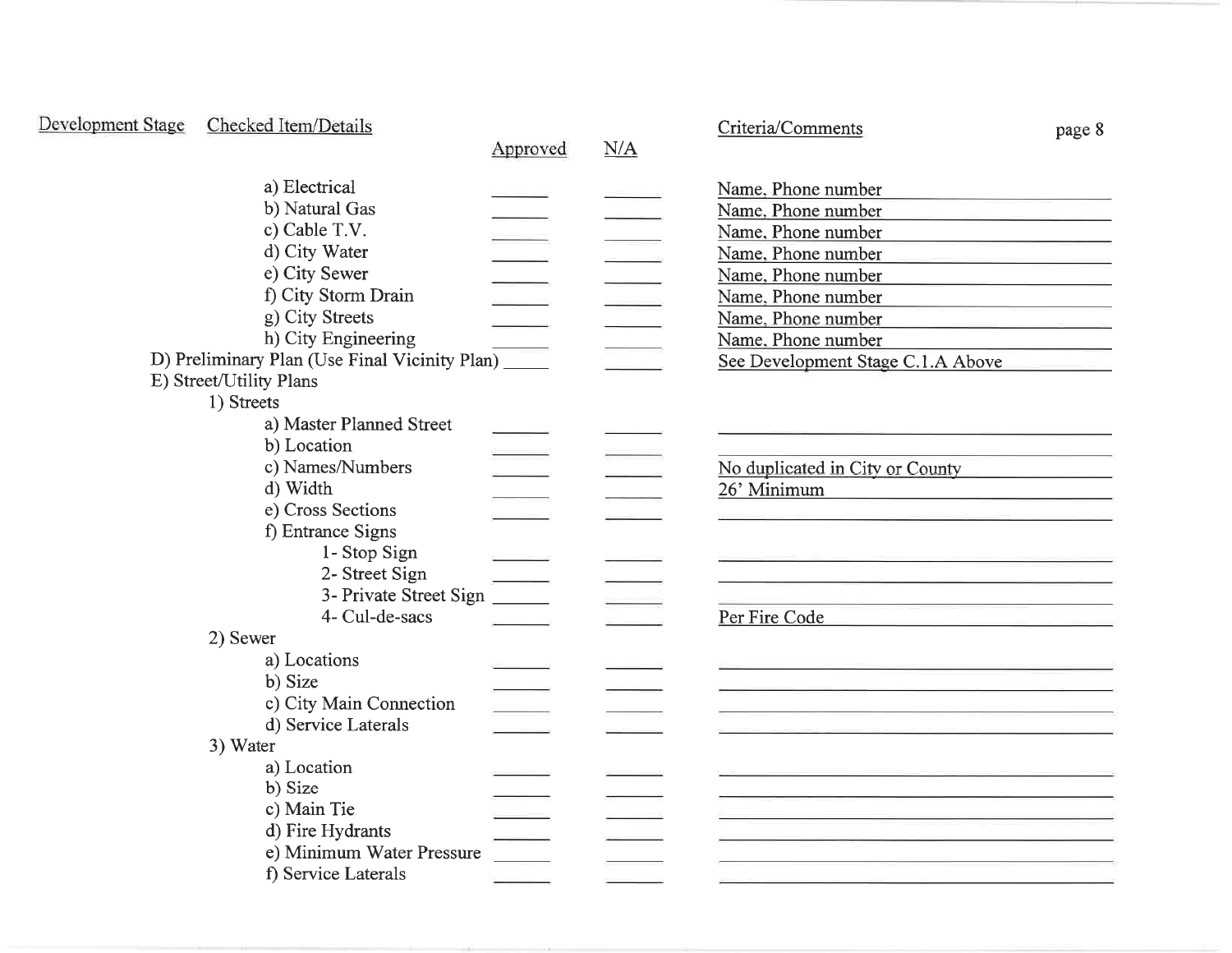| Development Stage | Checked Item/Details                             |          |     | Criteria/Comments                                                                                                                             | page 8                                             |
|-------------------|--------------------------------------------------|----------|-----|-----------------------------------------------------------------------------------------------------------------------------------------------|----------------------------------------------------|
|                   |                                                  | Approved | N/A |                                                                                                                                               |                                                    |
|                   | a) Electrical<br>b) Natural Gas<br>c) Cable T.V. |          |     | Name, Phone number<br><u> 1989 - Andrea Station Books, amerikansk politik (</u><br>Name, Phone number<br>Name, Phone number                   |                                                    |
|                   | d) City Water                                    |          |     | Name, Phone number<br><u> San Albanya (Bandari) (Bandari) (Bandari) (Bandari) (Bandari) (Bandari) (Bandari) (Bandari) (Bandari) (Bandari)</u> |                                                    |
|                   | e) City Sewer                                    |          |     | Name, Phone number                                                                                                                            | <u> 1989 - Johann Stoff, fransk politik (d. 19</u> |
|                   | f) City Storm Drain                              |          |     | Name, Phone number<br><u> 1989 - Johann John Stein, markin sammen fyrstu og fyrir og fyrir og fyrir og fyrir og fyrir og fyrir og fyrir</u>   |                                                    |
|                   | g) City Streets                                  |          |     | Name, Phone number                                                                                                                            |                                                    |
|                   | h) City Engineering                              |          |     | Name, Phone number                                                                                                                            |                                                    |
|                   | D) Preliminary Plan (Use Final Vicinity Plan)    |          |     | See Development Stage C.1.A Above                                                                                                             |                                                    |
|                   | E) Street/Utility Plans                          |          |     |                                                                                                                                               |                                                    |
|                   | 1) Streets                                       |          |     |                                                                                                                                               |                                                    |
|                   | a) Master Planned Street                         |          |     |                                                                                                                                               |                                                    |
|                   | b) Location                                      |          |     |                                                                                                                                               |                                                    |
|                   | c) Names/Numbers                                 |          |     | No duplicated in City or County                                                                                                               |                                                    |
|                   | d) Width                                         |          |     | 26' Minimum<br><u> 1989 - Johann John Stone, mars et al. (</u>                                                                                |                                                    |
|                   | e) Cross Sections                                |          |     |                                                                                                                                               |                                                    |
|                   | f) Entrance Signs                                |          |     |                                                                                                                                               |                                                    |
|                   | 1- Stop Sign                                     |          |     |                                                                                                                                               |                                                    |
|                   | 2- Street Sign                                   |          |     |                                                                                                                                               |                                                    |
|                   | 3- Private Street Sign                           |          |     |                                                                                                                                               |                                                    |
|                   | 4- Cul-de-sacs                                   |          |     | Per Fire Code                                                                                                                                 |                                                    |
|                   | 2) Sewer                                         |          |     |                                                                                                                                               |                                                    |
|                   | a) Locations                                     |          |     |                                                                                                                                               |                                                    |
|                   | b) Size                                          |          |     |                                                                                                                                               |                                                    |
|                   | c) City Main Connection                          |          |     |                                                                                                                                               |                                                    |
|                   | d) Service Laterals                              |          |     |                                                                                                                                               |                                                    |
|                   | 3) Water                                         |          |     |                                                                                                                                               |                                                    |
|                   | a) Location                                      |          |     |                                                                                                                                               |                                                    |
|                   | b) Size                                          |          |     |                                                                                                                                               |                                                    |
|                   | c) Main Tie                                      |          |     | <u> 1989 - Andrea San Andrea San Aonaichte ann an t-Aonaichte ann an t-Aonaichte ann an t-Aonaichte ann an t-Aon</u>                          |                                                    |
|                   | d) Fire Hydrants                                 |          |     |                                                                                                                                               |                                                    |
|                   | e) Minimum Water Pressure                        |          |     |                                                                                                                                               |                                                    |
|                   | f) Service Laterals                              |          |     |                                                                                                                                               |                                                    |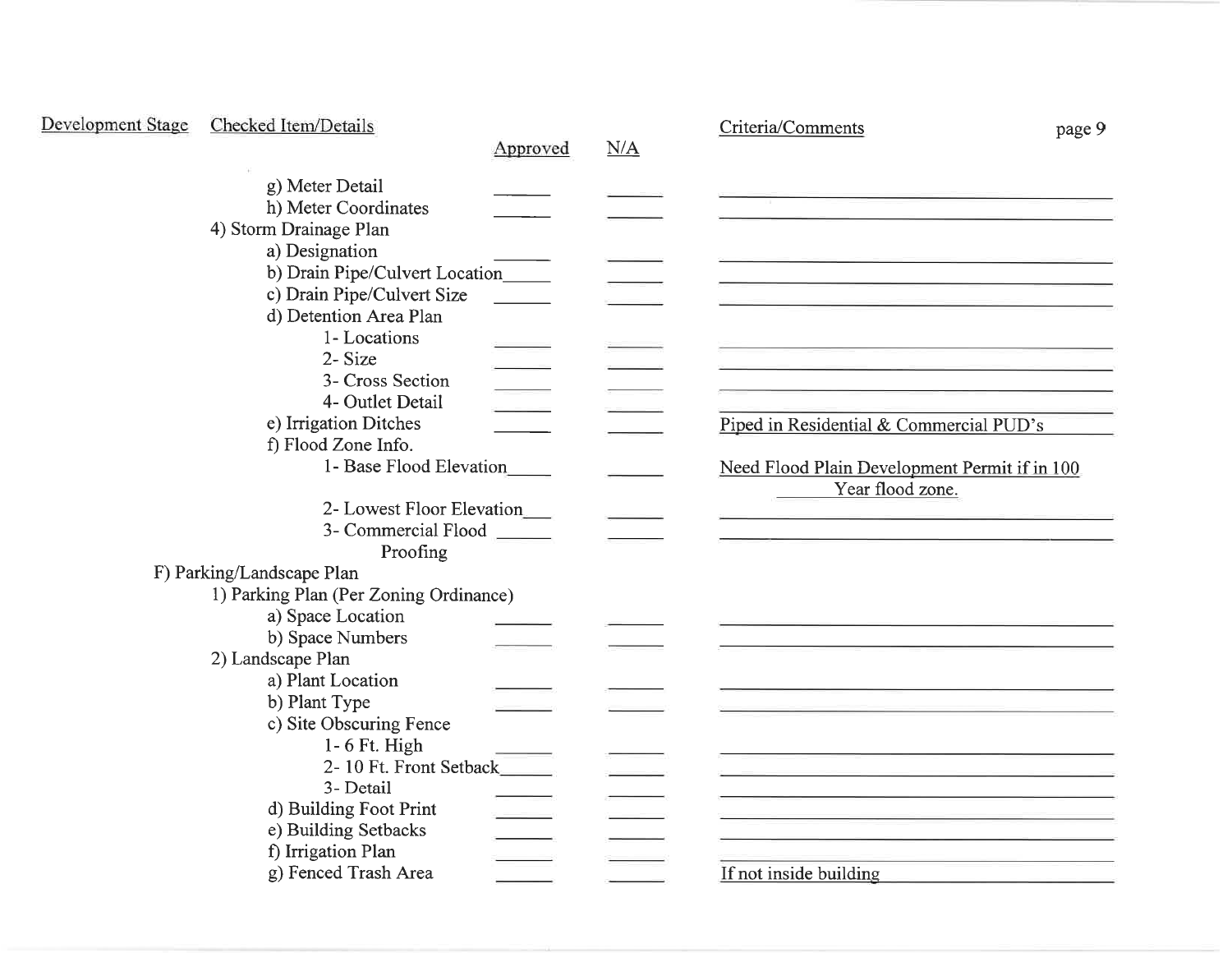| Development Stage | Checked Item/Details                   |          |     | Criteria/Comments                             | page 9 |
|-------------------|----------------------------------------|----------|-----|-----------------------------------------------|--------|
|                   |                                        | Approved | N/A |                                               |        |
|                   | g) Meter Detail                        |          |     |                                               |        |
|                   | h) Meter Coordinates                   |          |     |                                               |        |
|                   | 4) Storm Drainage Plan                 |          |     |                                               |        |
|                   | a) Designation                         |          |     |                                               |        |
|                   | b) Drain Pipe/Culvert Location         |          |     |                                               |        |
|                   | c) Drain Pipe/Culvert Size             |          |     |                                               |        |
|                   | d) Detention Area Plan                 |          |     |                                               |        |
|                   | 1-Locations                            |          |     |                                               |        |
|                   | 2-Size                                 |          |     |                                               |        |
|                   | 3- Cross Section                       |          |     |                                               |        |
|                   | 4- Outlet Detail                       |          |     |                                               |        |
|                   | e) Irrigation Ditches                  |          |     | Piped in Residential & Commercial PUD's       |        |
|                   | f) Flood Zone Info.                    |          |     |                                               |        |
|                   | 1- Base Flood Elevation                |          |     | Need Flood Plain Development Permit if in 100 |        |
|                   |                                        |          |     | Year flood zone.                              |        |
|                   | 2- Lowest Floor Elevation              |          |     |                                               |        |
|                   | 3- Commercial Flood                    |          |     |                                               |        |
|                   | Proofing                               |          |     |                                               |        |
|                   | F) Parking/Landscape Plan              |          |     |                                               |        |
|                   | 1) Parking Plan (Per Zoning Ordinance) |          |     |                                               |        |
|                   | a) Space Location                      |          |     |                                               |        |
|                   | b) Space Numbers<br>2) Landscape Plan  |          |     |                                               |        |
|                   | a) Plant Location                      |          |     |                                               |        |
|                   | b) Plant Type                          |          |     |                                               |        |
|                   | c) Site Obscuring Fence                |          |     |                                               |        |
|                   | $1 - 6$ Ft. High                       |          |     |                                               |        |
|                   | 2-10 Ft. Front Setback                 |          |     |                                               |        |
|                   | 3- Detail                              |          |     |                                               |        |
|                   | d) Building Foot Print                 |          |     |                                               |        |
|                   | e) Building Setbacks                   |          |     |                                               |        |
|                   | f) Irrigation Plan                     |          |     |                                               |        |
|                   | g) Fenced Trash Area                   |          |     | If not inside building                        |        |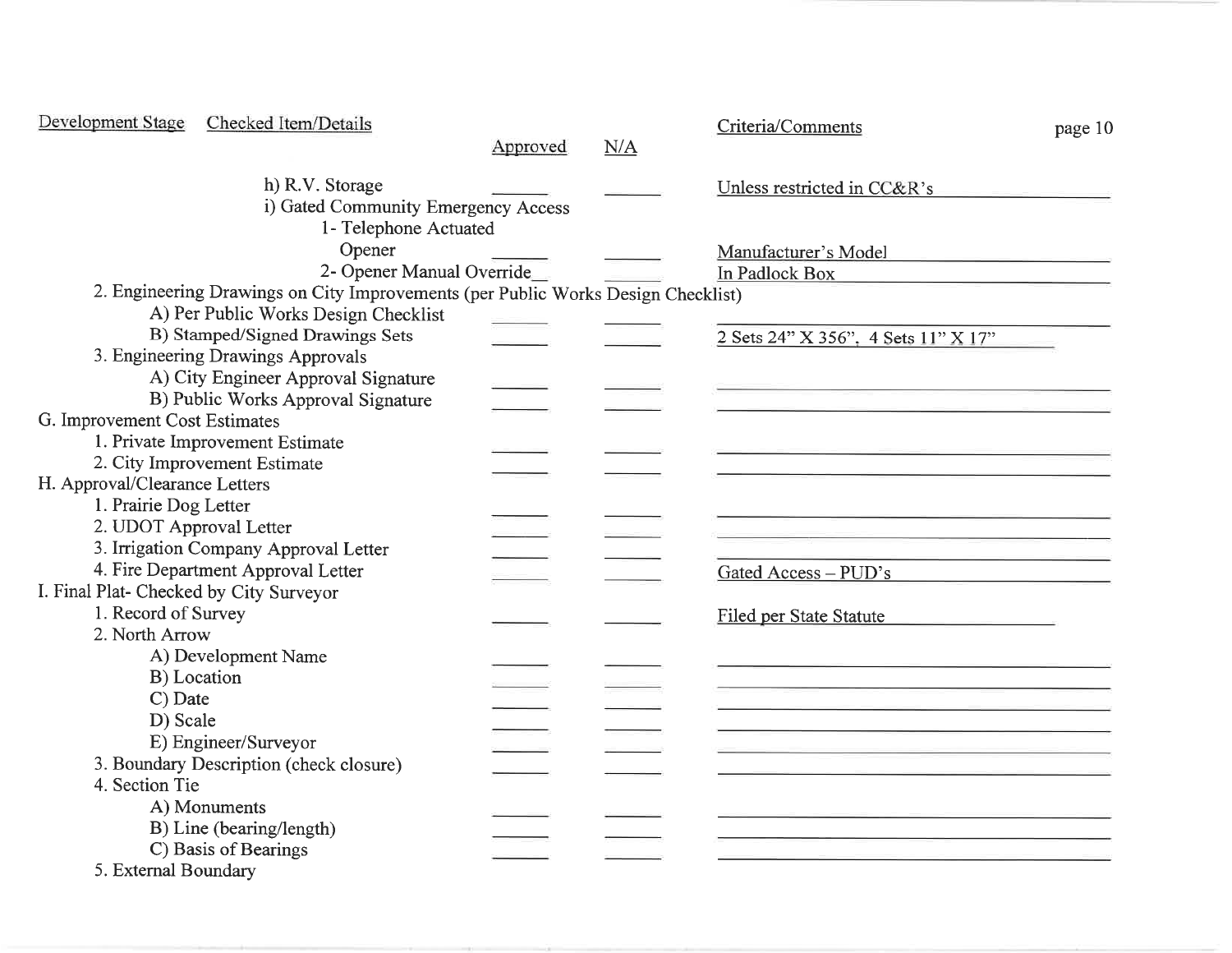| Development Stage                       | Checked Item/Details                                                             |          |     | Criteria/Comments                   | page 10 |
|-----------------------------------------|----------------------------------------------------------------------------------|----------|-----|-------------------------------------|---------|
|                                         |                                                                                  | Approved | N/A |                                     |         |
|                                         | h) R.V. Storage                                                                  |          |     | Unless restricted in CC&R's         |         |
|                                         | i) Gated Community Emergency Access                                              |          |     |                                     |         |
|                                         | 1- Telephone Actuated                                                            |          |     |                                     |         |
|                                         | Opener                                                                           |          |     | Manufacturer's Model                |         |
|                                         | 2- Opener Manual Override                                                        |          |     | In Padlock Box                      |         |
|                                         | 2. Engineering Drawings on City Improvements (per Public Works Design Checklist) |          |     |                                     |         |
|                                         | A) Per Public Works Design Checklist                                             |          |     |                                     |         |
|                                         | B) Stamped/Signed Drawings Sets                                                  |          |     | 2 Sets 24" X 356", 4 Sets 11" X 17" |         |
|                                         | 3. Engineering Drawings Approvals                                                |          |     |                                     |         |
|                                         | A) City Engineer Approval Signature                                              |          |     |                                     |         |
|                                         | B) Public Works Approval Signature                                               |          |     |                                     |         |
| G. Improvement Cost Estimates           |                                                                                  |          |     |                                     |         |
|                                         | 1. Private Improvement Estimate                                                  |          |     |                                     |         |
|                                         | 2. City Improvement Estimate                                                     |          |     |                                     |         |
| H. Approval/Clearance Letters           |                                                                                  |          |     |                                     |         |
| 1. Prairie Dog Letter                   |                                                                                  |          |     |                                     |         |
| 2. UDOT Approval Letter                 |                                                                                  |          |     |                                     |         |
|                                         | 3. Irrigation Company Approval Letter                                            |          |     |                                     |         |
|                                         | 4. Fire Department Approval Letter                                               |          |     | Gated Access - PUD's                |         |
| I. Final Plat- Checked by City Surveyor |                                                                                  |          |     |                                     |         |
| 1. Record of Survey                     |                                                                                  |          |     | <b>Filed per State Statute</b>      |         |
| 2. North Arrow                          |                                                                                  |          |     |                                     |         |
|                                         | A) Development Name                                                              |          |     |                                     |         |
|                                         | B) Location                                                                      |          |     |                                     |         |
| C) Date                                 |                                                                                  |          |     |                                     |         |
| D) Scale                                |                                                                                  |          |     |                                     |         |
|                                         | E) Engineer/Surveyor                                                             |          |     |                                     |         |
|                                         | 3. Boundary Description (check closure)                                          |          |     |                                     |         |
| 4. Section Tie                          |                                                                                  |          |     |                                     |         |
|                                         | A) Monuments                                                                     |          |     |                                     |         |
|                                         | B) Line (bearing/length)                                                         |          |     |                                     |         |
|                                         | C) Basis of Bearings                                                             |          |     |                                     |         |
| 5. External Boundary                    |                                                                                  |          |     |                                     |         |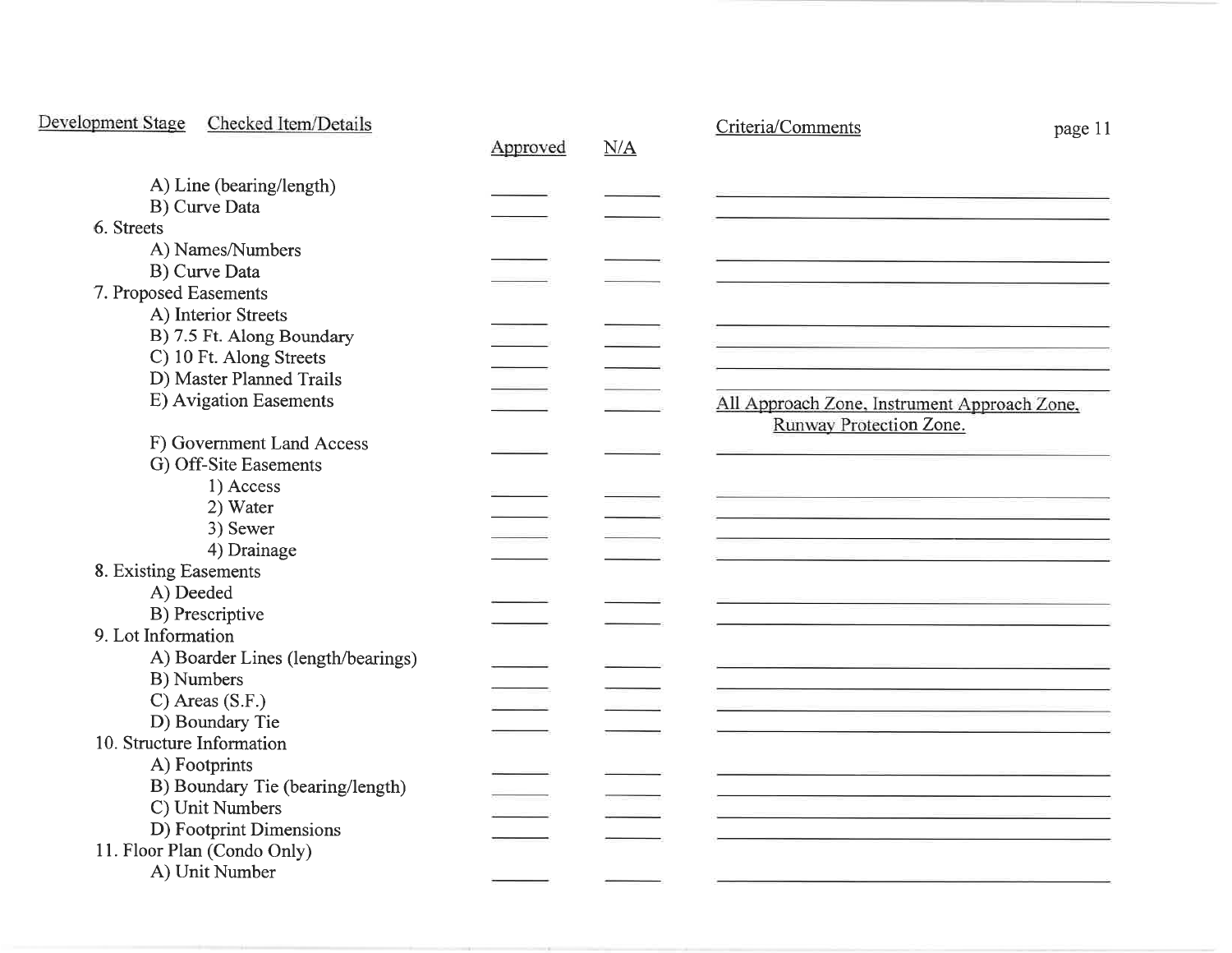| Development Stage<br>Checked Item/Details | Approved | N/A | Criteria/Comments<br>page 11                                            |
|-------------------------------------------|----------|-----|-------------------------------------------------------------------------|
| A) Line (bearing/length)                  |          |     |                                                                         |
| B) Curve Data<br>6. Streets               |          |     |                                                                         |
|                                           |          |     |                                                                         |
| A) Names/Numbers                          |          |     |                                                                         |
| B) Curve Data                             |          |     |                                                                         |
| 7. Proposed Easements                     |          |     |                                                                         |
| A) Interior Streets                       |          |     |                                                                         |
| B) 7.5 Ft. Along Boundary                 |          |     |                                                                         |
| C) 10 Ft. Along Streets                   |          |     |                                                                         |
| D) Master Planned Trails                  |          |     |                                                                         |
| E) Avigation Easements                    |          |     | All Approach Zone, Instrument Approach Zone,<br>Runway Protection Zone. |
| F) Government Land Access                 |          |     |                                                                         |
| G) Off-Site Easements                     |          |     |                                                                         |
| 1) Access                                 |          |     |                                                                         |
| 2) Water                                  |          |     |                                                                         |
| 3) Sewer                                  |          |     |                                                                         |
| 4) Drainage                               |          |     |                                                                         |
| 8. Existing Easements                     |          |     |                                                                         |
| A) Deeded                                 |          |     |                                                                         |
| B) Prescriptive                           |          |     |                                                                         |
| 9. Lot Information                        |          |     |                                                                         |
| A) Boarder Lines (length/bearings)        |          |     |                                                                         |
| B) Numbers                                |          |     |                                                                         |
| $C)$ Areas (S.F.)                         |          |     |                                                                         |
| D) Boundary Tie                           |          |     |                                                                         |
| 10. Structure Information                 |          |     |                                                                         |
| A) Footprints                             |          |     |                                                                         |
| B) Boundary Tie (bearing/length)          |          |     |                                                                         |
| C) Unit Numbers                           |          |     |                                                                         |
| D) Footprint Dimensions                   |          |     |                                                                         |
| 11. Floor Plan (Condo Only)               |          |     |                                                                         |
| A) Unit Number                            |          |     |                                                                         |
|                                           |          |     |                                                                         |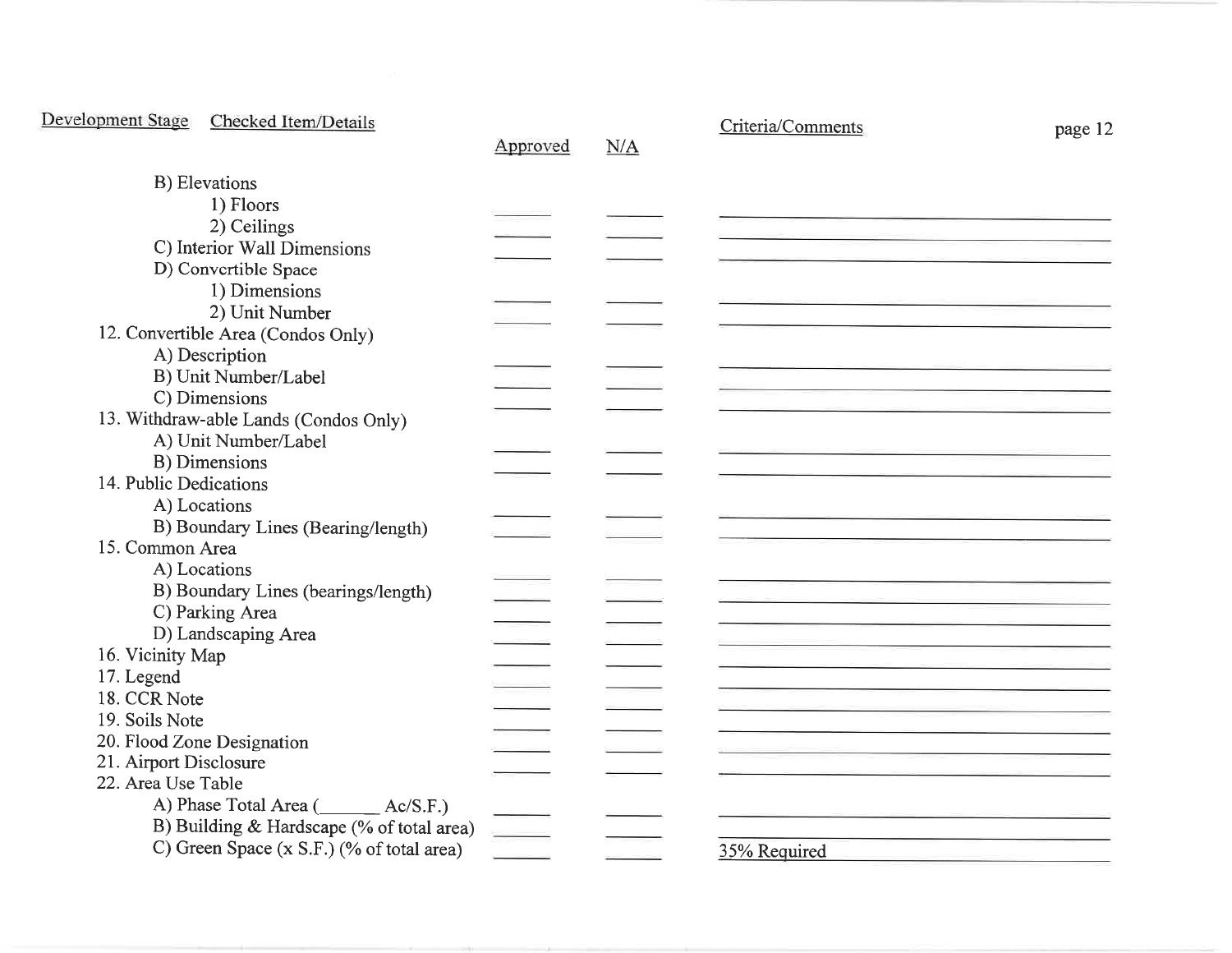| Development Stage<br>Checked Item/Details | Approved | N/A | Criteria/Comments | page 12 |
|-------------------------------------------|----------|-----|-------------------|---------|
| B) Elevations                             |          |     |                   |         |
|                                           |          |     |                   |         |
| 1) Floors                                 |          |     |                   |         |
| 2) Ceilings                               |          |     |                   |         |
| C) Interior Wall Dimensions               |          |     |                   |         |
| D) Convertible Space                      |          |     |                   |         |
| 1) Dimensions                             |          |     |                   |         |
| 2) Unit Number                            |          |     |                   |         |
| 12. Convertible Area (Condos Only)        |          |     |                   |         |
| A) Description                            |          |     |                   |         |
| B) Unit Number/Label                      |          |     |                   |         |
| C) Dimensions                             |          |     |                   |         |
| 13. Withdraw-able Lands (Condos Only)     |          |     |                   |         |
| A) Unit Number/Label                      |          |     |                   |         |
| B) Dimensions                             |          |     |                   |         |
| 14. Public Dedications                    |          |     |                   |         |
| A) Locations                              |          |     |                   |         |
| B) Boundary Lines (Bearing/length)        |          |     |                   |         |
| 15. Common Area                           |          |     |                   |         |
| A) Locations                              |          |     |                   |         |
| B) Boundary Lines (bearings/length)       |          |     |                   |         |
| C) Parking Area                           |          |     |                   |         |
| D) Landscaping Area                       |          |     |                   |         |
| 16. Vicinity Map                          |          |     |                   |         |
| 17. Legend                                |          |     |                   |         |
| 18. CCR Note                              |          |     |                   |         |
| 19. Soils Note                            |          |     |                   |         |
| 20. Flood Zone Designation                |          |     |                   |         |
| 21. Airport Disclosure                    |          |     |                   |         |
| 22. Area Use Table                        |          |     |                   |         |
| A) Phase Total Area (Campacana Ac/S.F.)   |          |     |                   |         |
|                                           |          |     |                   |         |
| B) Building & Hardscape (% of total area) |          |     |                   |         |
| C) Green Space (x S.F.) (% of total area) |          |     | 35% Required      |         |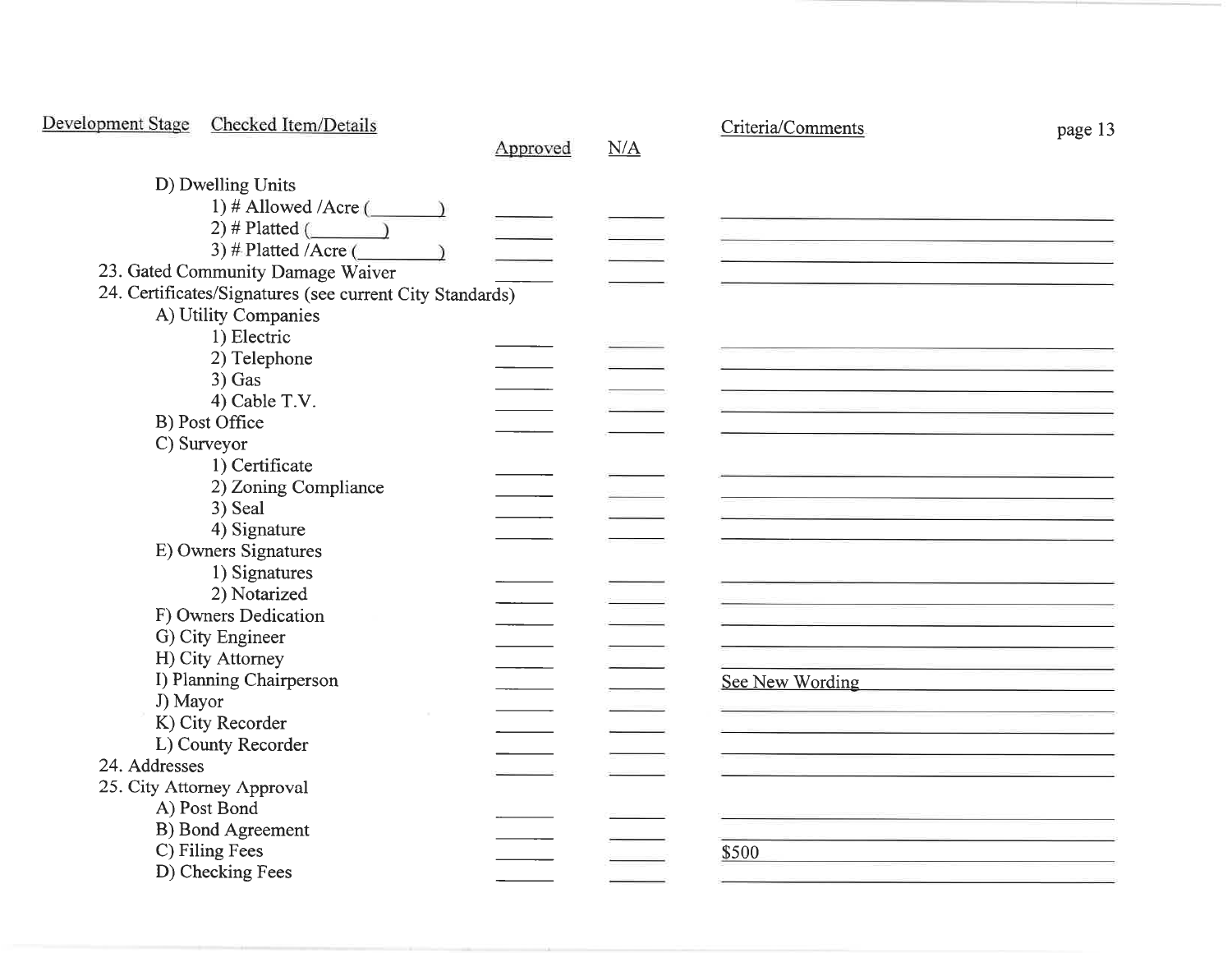| Development Stage | Checked Item/Details                                     |          |     | Criteria/Comments | page 13 |
|-------------------|----------------------------------------------------------|----------|-----|-------------------|---------|
|                   |                                                          | Approved | N/A |                   |         |
|                   | D) Dwelling Units                                        |          |     |                   |         |
|                   | 1) # Allowed /Acre $(\_\_\_\)_$                          |          |     |                   |         |
|                   | 2) # Platted $($<br>$\overline{\phantom{a}}$             |          |     |                   |         |
|                   | 3) # Platted /Acre (                                     |          |     |                   |         |
|                   | 23. Gated Community Damage Waiver                        |          |     |                   |         |
|                   | 24. Certificates/Signatures (see current City Standards) |          |     |                   |         |
|                   | A) Utility Companies                                     |          |     |                   |         |
|                   | 1) Electric                                              |          |     |                   |         |
|                   | 2) Telephone                                             |          |     |                   |         |
|                   | $3)$ Gas                                                 |          |     |                   |         |
|                   | 4) Cable T.V.                                            |          |     |                   |         |
|                   | B) Post Office                                           |          |     |                   |         |
|                   | C) Surveyor                                              |          |     |                   |         |
|                   | 1) Certificate                                           |          |     |                   |         |
|                   | 2) Zoning Compliance                                     |          |     |                   |         |
|                   | 3) Seal                                                  |          |     |                   |         |
|                   | 4) Signature                                             |          |     |                   |         |
|                   | E) Owners Signatures                                     |          |     |                   |         |
|                   | 1) Signatures                                            |          |     |                   |         |
|                   | 2) Notarized                                             |          |     |                   |         |
|                   | F) Owners Dedication                                     |          |     |                   |         |
|                   | G) City Engineer                                         |          |     |                   |         |
|                   | H) City Attorney                                         |          |     |                   |         |
|                   | I) Planning Chairperson                                  |          |     | See New Wording   |         |
| J) Mayor          |                                                          |          |     |                   |         |
|                   | K) City Recorder                                         |          |     |                   |         |
|                   | L) County Recorder                                       |          |     |                   |         |
| 24. Addresses     |                                                          |          |     |                   |         |
|                   | 25. City Attorney Approval                               |          |     |                   |         |
|                   | A) Post Bond                                             |          |     |                   |         |
|                   | B) Bond Agreement                                        |          |     |                   |         |
|                   | C) Filing Fees                                           |          |     | \$500             |         |
|                   | D) Checking Fees                                         |          |     |                   |         |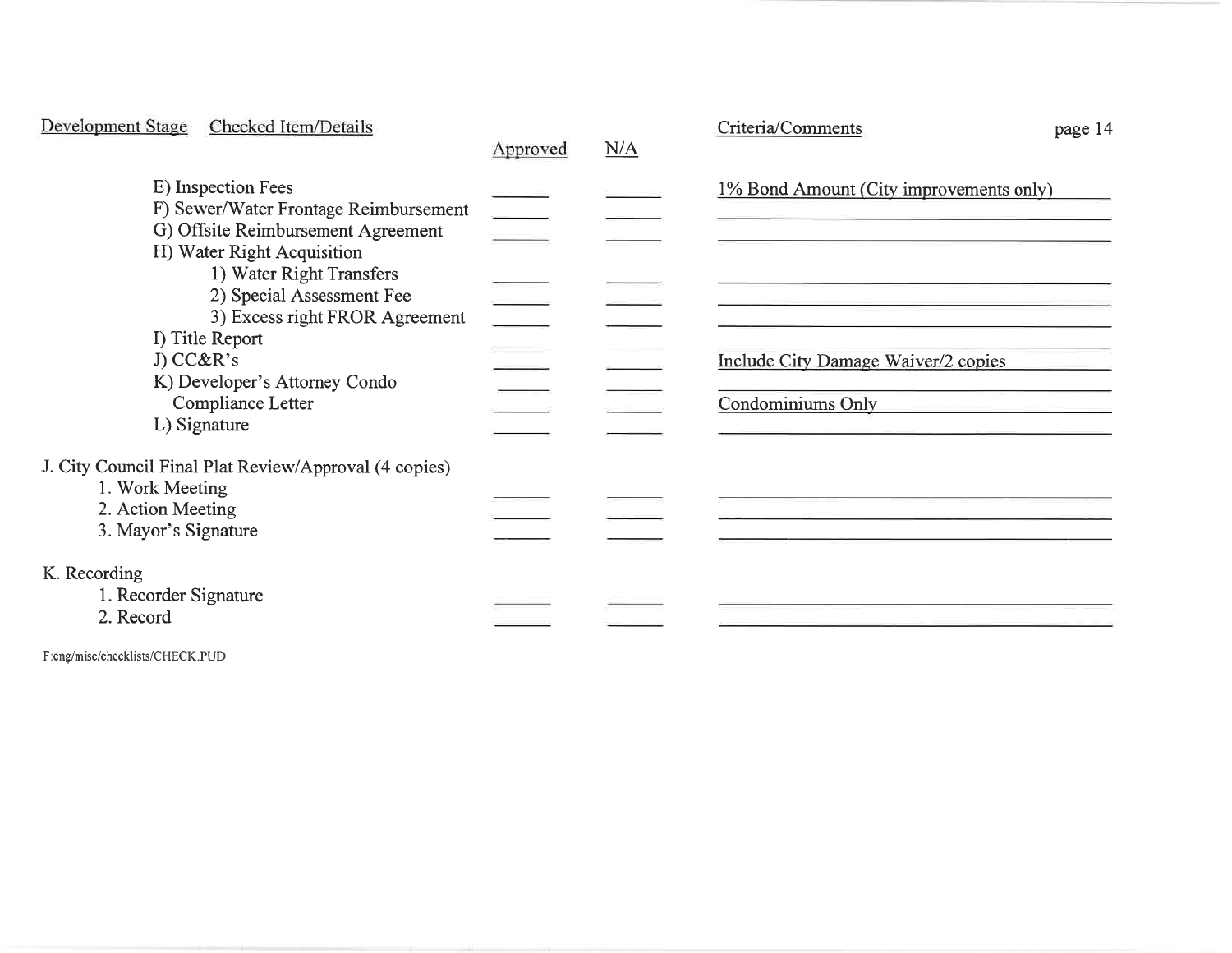| Development Stage<br>Checked Item/Details                                                                                                                                                                                                                                                                                        | Approved                 | N/A | Criteria/Comments<br>page 14                                                                               |
|----------------------------------------------------------------------------------------------------------------------------------------------------------------------------------------------------------------------------------------------------------------------------------------------------------------------------------|--------------------------|-----|------------------------------------------------------------------------------------------------------------|
| E) Inspection Fees<br>F) Sewer/Water Frontage Reimbursement<br>G) Offsite Reimbursement Agreement<br>H) Water Right Acquisition<br>1) Water Right Transfers<br>2) Special Assessment Fee<br>3) Excess right FROR Agreement<br>I) Title Report<br>J) CC&R's<br>K) Developer's Attorney Condo<br>Compliance Letter<br>L) Signature | $\overline{\phantom{a}}$ |     | 1% Bond Amount (City improvements only)<br>Include City Damage Waiver/2 copies<br><b>Condominiums Only</b> |
| J. City Council Final Plat Review/Approval (4 copies)<br>1. Work Meeting<br>2. Action Meeting<br>3. Mayor's Signature                                                                                                                                                                                                            |                          |     |                                                                                                            |
| K. Recording<br>1. Recorder Signature<br>2. Record                                                                                                                                                                                                                                                                               |                          |     |                                                                                                            |

F:eng/misc/checklists/CHECK.PUD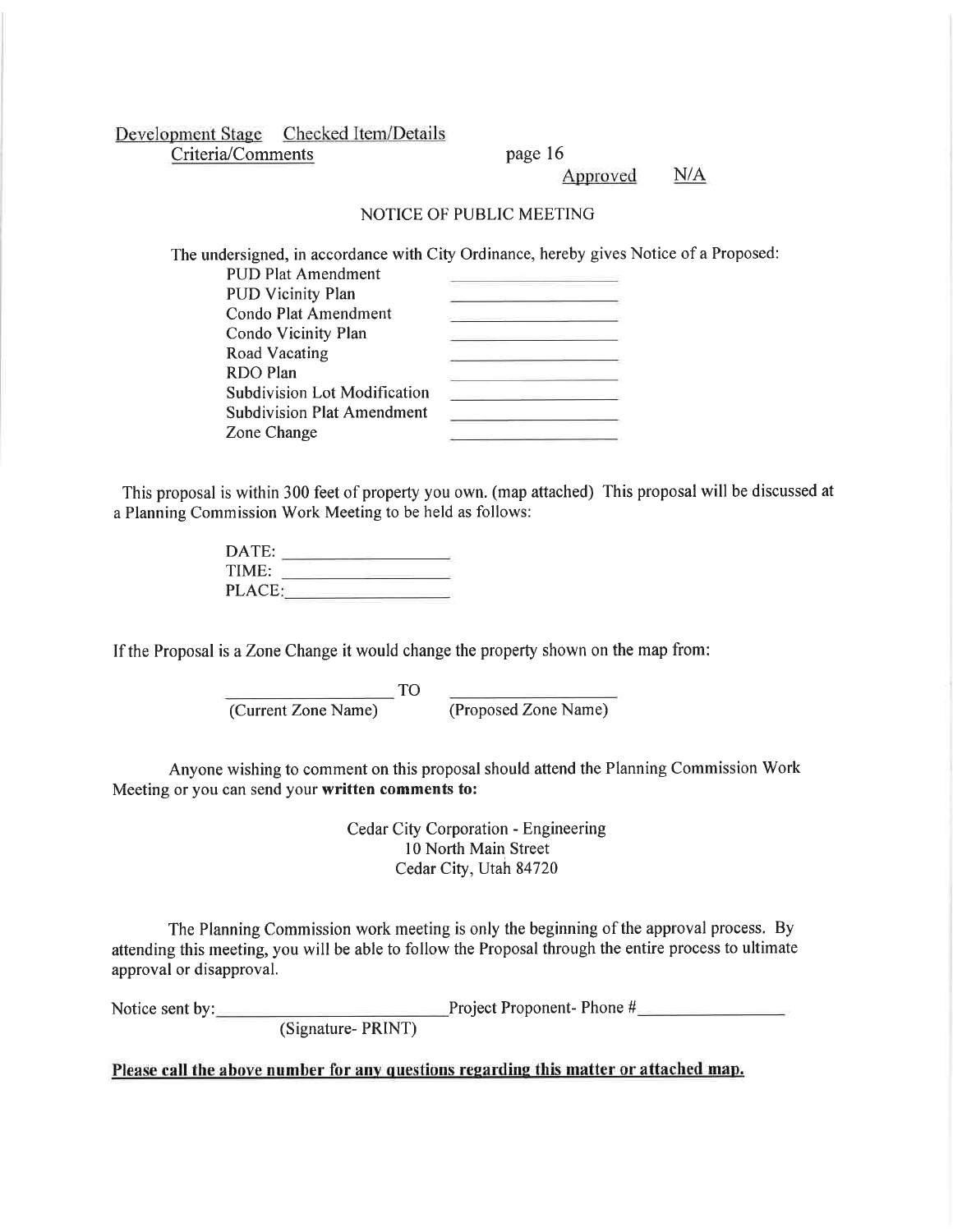Development Stage Checked Item/Details Criteria/Comments page 16

Approved N/A

## NOTICE OF PUBLIC MEETING

The undersigned, in accordance with City Ordinance, hereby gives Notice of a Proposed: PUD Plat Amendment

| гот гасанскински                    |  |
|-------------------------------------|--|
| <b>PUD Vicinity Plan</b>            |  |
| Condo Plat Amendment                |  |
| Condo Vicinity Plan                 |  |
| Road Vacating                       |  |
| <b>RDO</b> Plan                     |  |
| <b>Subdivision Lot Modification</b> |  |
| <b>Subdivision Plat Amendment</b>   |  |
| Zone Change                         |  |
|                                     |  |

This proposal is within 300 feet of property you own. (map attached) This proposal will be discussed at a Planning Commission Work Meeting to be held as follows:

| DATE:  |  |
|--------|--|
| TIME:  |  |
| PLACE: |  |

If the Proposal is a Zone Change it would change the property shown on the map from:

TO

(Current Zone Name) (Proposed Zone Name)

Anyone wishing to comment on this proposal should attend the Planning Commission Work Meeting or you can send your written comments to:

> Cedar City Corporation - Engineering l0 North Main Street Cedar City, Utah 84720

The Planning Commission work meeting is only the beginning of the approval process. By attending this meeting, you will be able to follow the Proposal through the entire process to ultimate approval or disapproval.

Notice sent by: <u>Capature- PRINT</u><br>
(Signature- PRINT)

Please call the above number for any questions regarding this matter or attached map.